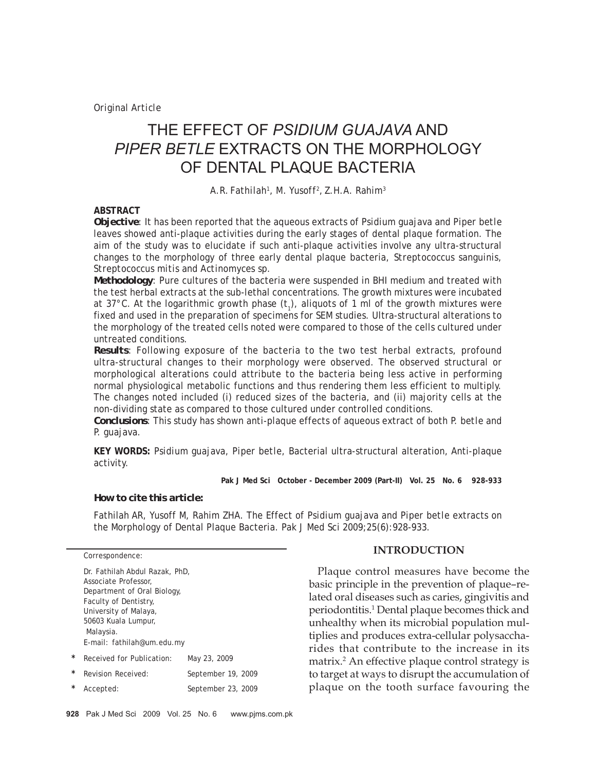# THE EFFECT OF *PSIDIUM GUAJAVA* AND *PIPER BETLE* EXTRACTS ON THE MORPHOLOGY OF DENTAL PLAQUE BACTERIA

*A.R. Fathilah1 , M. Yusoff2 , Z.H.A. Rahim3*

## **ABSTRACT**

*Objective:* It has been reported that the aqueous extracts of *Psidium guajava* and *Piper betle* leaves showed anti-plaque activities during the early stages of dental plaque formation. The aim of the study was to elucidate if such anti-plaque activities involve any ultra-structural changes to the morphology of three early dental plaque bacteria, *Streptococcus sanguinis, Streptococcus mitis* and *Actinomyces* sp.

*Methodology:* Pure cultures of the bacteria were suspended in BHI medium and treated with the test herbal extracts at the sub-lethal concentrations. The growth mixtures were incubated at 37°C. At the logarithmic growth phase  $(t<sub>1</sub>)$ , aliquots of 1 ml of the growth mixtures were fixed and used in the preparation of specimens for SEM studies. Ultra-structural alterations to the morphology of the treated cells noted were compared to those of the cells cultured under untreated conditions.

*Results:* Following exposure of the bacteria to the two test herbal extracts, profound ultra-structural changes to their morphology were observed. The observed structural or morphological alterations could attribute to the bacteria being less active in performing normal physiological metabolic functions and thus rendering them less efficient to multiply. The changes noted included (i) reduced sizes of the bacteria, and (ii) majority cells at the non-dividing state as compared to those cultured under controlled conditions.

*Conclusions:* This study has shown anti-plaque effects of aqueous extract of both *P. betle* and *P. guajava.*

**KEY WORDS:** *Psidium guajava, Piper betle,* Bacterial ultra-structural alteration, Anti-plaque activity.

**Pak J Med Sci October - December 2009 (Part-II) Vol. 25 No. 6 928-933**

#### *How to cite this article:*

Fathilah AR, Yusoff M, Rahim ZHA. The Effect of *Psidium guajava* and *Piper betle* extracts on the Morphology of Dental Plaque Bacteria. Pak J Med Sci 2009;25(6):928-933.

|   | Dr. Fathilah Abdul Razak, PhD, |                    |
|---|--------------------------------|--------------------|
|   | Associate Professor.           |                    |
|   | Department of Oral Biology,    |                    |
|   | Faculty of Dentistry,          |                    |
|   | University of Malaya,          |                    |
|   | 50603 Kuala Lumpur,            |                    |
|   | Malaysia.                      |                    |
|   | E-mail: fathilah@um.edu.my     |                    |
| * | Received for Publication:      | May 23, 2009       |
| * | Revision Received:             | September 19, 2009 |
| * | Accepted:                      | September 23, 2009 |
|   |                                |                    |

### **INTRODUCTION**

Plaque control measures have become the basic principle in the prevention of plaque–related oral diseases such as caries, gingivitis and periodontitis.1 Dental plaque becomes thick and unhealthy when its microbial population multiplies and produces extra-cellular polysaccharides that contribute to the increase in its matrix.2 An effective plaque control strategy is to target at ways to disrupt the accumulation of plaque on the tooth surface favouring the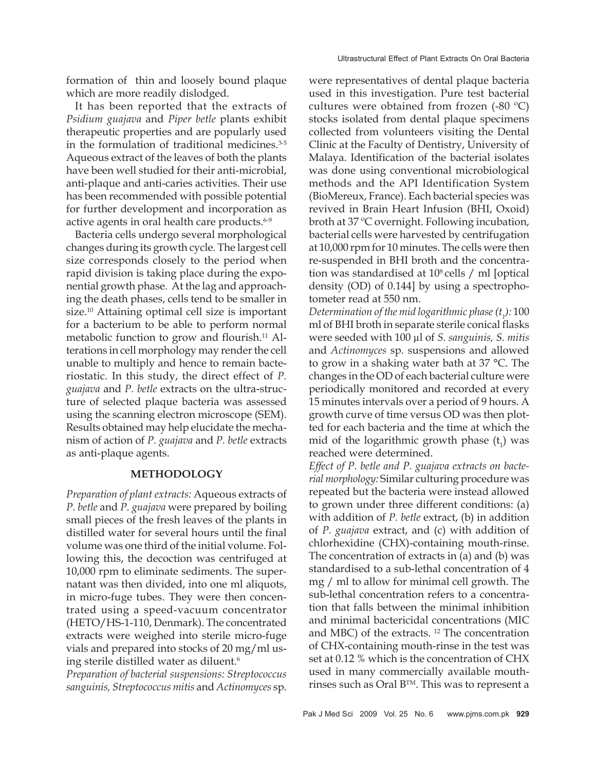formation of thin and loosely bound plaque which are more readily dislodged.

It has been reported that the extracts of *Psidium guajava* and *Piper betle* plants exhibit therapeutic properties and are popularly used in the formulation of traditional medicines.<sup>3-5</sup> Aqueous extract of the leaves of both the plants have been well studied for their anti-microbial, anti-plaque and anti-caries activities. Their use has been recommended with possible potential for further development and incorporation as active agents in oral health care products.<sup>6-9</sup>

Bacteria cells undergo several morphological changes during its growth cycle. The largest cell size corresponds closely to the period when rapid division is taking place during the exponential growth phase. At the lag and approaching the death phases, cells tend to be smaller in size.<sup>10</sup> Attaining optimal cell size is important for a bacterium to be able to perform normal metabolic function to grow and flourish.<sup>11</sup> Alterations in cell morphology may render the cell unable to multiply and hence to remain bacteriostatic. In this study, the direct effect of *P. guajava* and *P. betle* extracts on the ultra-structure of selected plaque bacteria was assessed using the scanning electron microscope (SEM). Results obtained may help elucidate the mechanism of action of *P. guajava* and *P. betle* extracts as anti-plaque agents.

#### **METHODOLOGY**

*Preparation of plant extracts:* Aqueous extracts of *P. betle* and *P. guajava* were prepared by boiling small pieces of the fresh leaves of the plants in distilled water for several hours until the final volume was one third of the initial volume. Following this, the decoction was centrifuged at 10,000 rpm to eliminate sediments. The supernatant was then divided, into one ml aliquots, in micro-fuge tubes. They were then concentrated using a speed-vacuum concentrator (HETO/HS-1-110, Denmark). The concentrated extracts were weighed into sterile micro-fuge vials and prepared into stocks of 20 mg/ml using sterile distilled water as diluent.<sup>6</sup>

*Preparation of bacterial suspensions: Streptococcus sanguinis, Streptococcus mitis* and *Actinomyces* sp.

were representatives of dental plaque bacteria used in this investigation. Pure test bacterial cultures were obtained from frozen (-80 ºC) stocks isolated from dental plaque specimens collected from volunteers visiting the Dental Clinic at the Faculty of Dentistry, University of Malaya. Identification of the bacterial isolates was done using conventional microbiological methods and the API Identification System (BioMereux, France). Each bacterial species was revived in Brain Heart Infusion (BHI, Oxoid) broth at 37 ºC overnight. Following incubation, bacterial cells were harvested by centrifugation at 10,000 rpm for 10 minutes. The cells were then re-suspended in BHI broth and the concentration was standardised at  $10^8$  cells / ml [optical] density (OD) of 0.144] by using a spectrophotometer read at 550 nm.

*Determination of the mid logarithmic phase (t1 ):* 100 ml of BHI broth in separate sterile conical flasks were seeded with 100 µl of *S. sanguinis, S. mitis* and *Actinomyces* sp. suspensions and allowed to grow in a shaking water bath at 37 °C. The changes in the OD of each bacterial culture were periodically monitored and recorded at every 15 minutes intervals over a period of 9 hours. A growth curve of time versus OD was then plotted for each bacteria and the time at which the mid of the logarithmic growth phase  $(t_1)$  was reached were determined.

*Effect of P. betle and P. guajava extracts on bacterial morphology:* Similar culturing procedure was repeated but the bacteria were instead allowed to grown under three different conditions: (a) with addition of *P. betle* extract, (b) in addition of *P. guajava* extract, and (c) with addition of chlorhexidine (CHX)-containing mouth-rinse. The concentration of extracts in (a) and (b) was standardised to a sub-lethal concentration of 4 mg / ml to allow for minimal cell growth. The sub-lethal concentration refers to a concentration that falls between the minimal inhibition and minimal bactericidal concentrations (MIC and MBC) of the extracts. 12 The concentration of CHX-containing mouth-rinse in the test was set at 0.12 % which is the concentration of CHX used in many commercially available mouthrinses such as Oral BTM. This was to represent a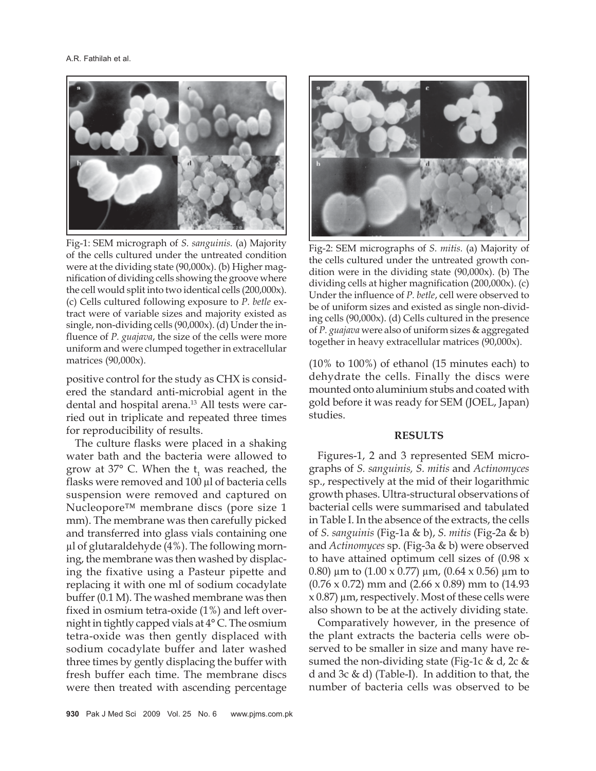

Fig-1: SEM micrograph of *S. sanguinis.* (a) Majority of the cells cultured under the untreated condition were at the dividing state (90,000x). (b) Higher magnification of dividing cells showing the groove where the cell would split into two identical cells (200,000x). (c) Cells cultured following exposure to *P. betle* extract were of variable sizes and majority existed as single, non-dividing cells (90,000x). (d) Under the influence of *P. guajava*, the size of the cells were more uniform and were clumped together in extracellular matrices (90,000x).

positive control for the study as CHX is considered the standard anti-microbial agent in the dental and hospital arena.<sup>13</sup> All tests were carried out in triplicate and repeated three times for reproducibility of results.

The culture flasks were placed in a shaking water bath and the bacteria were allowed to grow at 37° C. When the  $t<sub>1</sub>$  was reached, the flasks were removed and 100 µl of bacteria cells suspension were removed and captured on Nucleopore™ membrane discs (pore size 1 mm). The membrane was then carefully picked and transferred into glass vials containing one µl of glutaraldehyde (4%). The following morning, the membrane was then washed by displacing the fixative using a Pasteur pipette and replacing it with one ml of sodium cocadylate buffer (0.1 M). The washed membrane was then fixed in osmium tetra-oxide (1%) and left overnight in tightly capped vials at 4° C. The osmium tetra-oxide was then gently displaced with sodium cocadylate buffer and later washed three times by gently displacing the buffer with fresh buffer each time. The membrane discs were then treated with ascending percentage



Fig-2: SEM micrographs of *S. mitis.* (a) Majority of the cells cultured under the untreated growth condition were in the dividing state (90,000x). (b) The dividing cells at higher magnification (200,000x). (c) Under the influence of *P. betle*, cell were observed to be of uniform sizes and existed as single non-dividing cells (90,000x). (d) Cells cultured in the presence of *P. guajava* were also of uniform sizes & aggregated together in heavy extracellular matrices (90,000x).

(10% to 100%) of ethanol (15 minutes each) to dehydrate the cells. Finally the discs were mounted onto aluminium stubs and coated with gold before it was ready for SEM (JOEL, Japan) studies.

#### **RESULTS**

Figures-1, 2 and 3 represented SEM micrographs of *S. sanguinis, S. mitis* and *Actinomyces* sp., respectively at the mid of their logarithmic growth phases. Ultra-structural observations of bacterial cells were summarised and tabulated in Table I. In the absence of the extracts, the cells of *S. sanguinis* (Fig-1a & b), *S. mitis* (Fig-2a & b) and *Actinomyces* sp. (Fig-3a & b) were observed to have attained optimum cell sizes of (0.98 x 0.80)  $\mu$ m to (1.00 x 0.77)  $\mu$ m, (0.64 x 0.56)  $\mu$ m to (0.76 x 0.72) mm and (2.66 x 0.89) mm to (14.93  $x$  0.87)  $\mu$ m, respectively. Most of these cells were also shown to be at the actively dividing state.

Comparatively however, in the presence of the plant extracts the bacteria cells were observed to be smaller in size and many have resumed the non-dividing state (Fig-1c  $\&$  d, 2c  $\&$ d and 3c & d) (Table-I). In addition to that, the number of bacteria cells was observed to be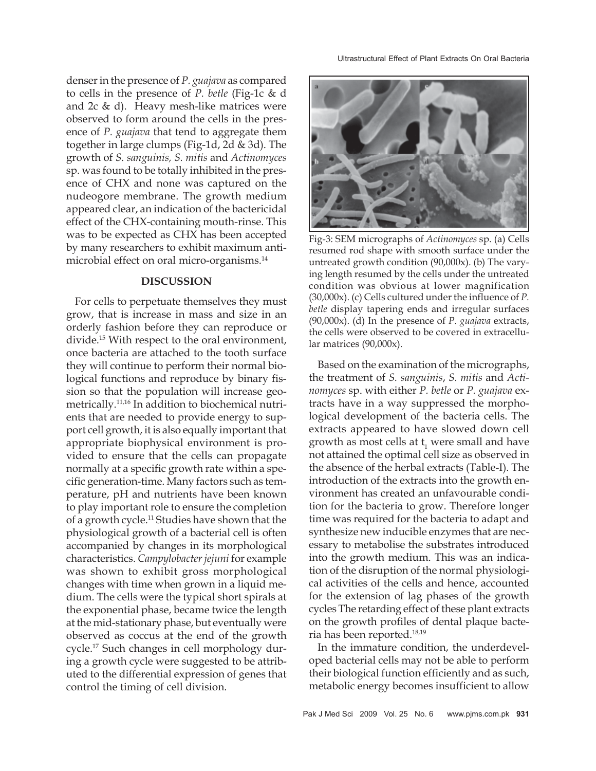denser in the presence of *P. guajava* as compared to cells in the presence of *P. betle* (Fig-1c & d and 2c & d). Heavy mesh-like matrices were observed to form around the cells in the presence of *P. guajava* that tend to aggregate them together in large clumps (Fig-1d, 2d & 3d). The growth of *S. sanguinis, S. mitis* and *Actinomyces* sp. was found to be totally inhibited in the presence of CHX and none was captured on the nudeogore membrane. The growth medium appeared clear, an indication of the bactericidal effect of the CHX-containing mouth-rinse. This was to be expected as CHX has been accepted by many researchers to exhibit maximum antimicrobial effect on oral micro-organisms.<sup>14</sup>

#### **DISCUSSION**

For cells to perpetuate themselves they must grow, that is increase in mass and size in an orderly fashion before they can reproduce or divide.15 With respect to the oral environment, once bacteria are attached to the tooth surface they will continue to perform their normal biological functions and reproduce by binary fission so that the population will increase geometrically.11,16 In addition to biochemical nutrients that are needed to provide energy to support cell growth, it is also equally important that appropriate biophysical environment is provided to ensure that the cells can propagate normally at a specific growth rate within a specific generation-time. Many factors such as temperature, pH and nutrients have been known to play important role to ensure the completion of a growth cycle.11 Studies have shown that the physiological growth of a bacterial cell is often accompanied by changes in its morphological characteristics. *Campylobacter jejuni* for example was shown to exhibit gross morphological changes with time when grown in a liquid medium. The cells were the typical short spirals at the exponential phase, became twice the length at the mid-stationary phase, but eventually were observed as coccus at the end of the growth cycle.17 Such changes in cell morphology during a growth cycle were suggested to be attributed to the differential expression of genes that control the timing of cell division.



Fig-3: SEM micrographs of *Actinomyces* sp. (a) Cells resumed rod shape with smooth surface under the untreated growth condition (90,000x). (b) The varying length resumed by the cells under the untreated condition was obvious at lower magnification (30,000x). (c) Cells cultured under the influence of *P. betle* display tapering ends and irregular surfaces (90,000x). (d) In the presence of *P. guajava* extracts, the cells were observed to be covered in extracellular matrices (90,000x).

Based on the examination of the micrographs, the treatment of *S. sanguinis*, *S. mitis* and *Actinomyces* sp. with either *P. betle* or *P. guajava* extracts have in a way suppressed the morphological development of the bacteria cells. The extracts appeared to have slowed down cell growth as most cells at  $t_1$  were small and have not attained the optimal cell size as observed in the absence of the herbal extracts (Table-I). The introduction of the extracts into the growth environment has created an unfavourable condition for the bacteria to grow. Therefore longer time was required for the bacteria to adapt and synthesize new inducible enzymes that are necessary to metabolise the substrates introduced into the growth medium. This was an indication of the disruption of the normal physiological activities of the cells and hence, accounted for the extension of lag phases of the growth cycles The retarding effect of these plant extracts on the growth profiles of dental plaque bacteria has been reported.18,19

In the immature condition, the underdeveloped bacterial cells may not be able to perform their biological function efficiently and as such, metabolic energy becomes insufficient to allow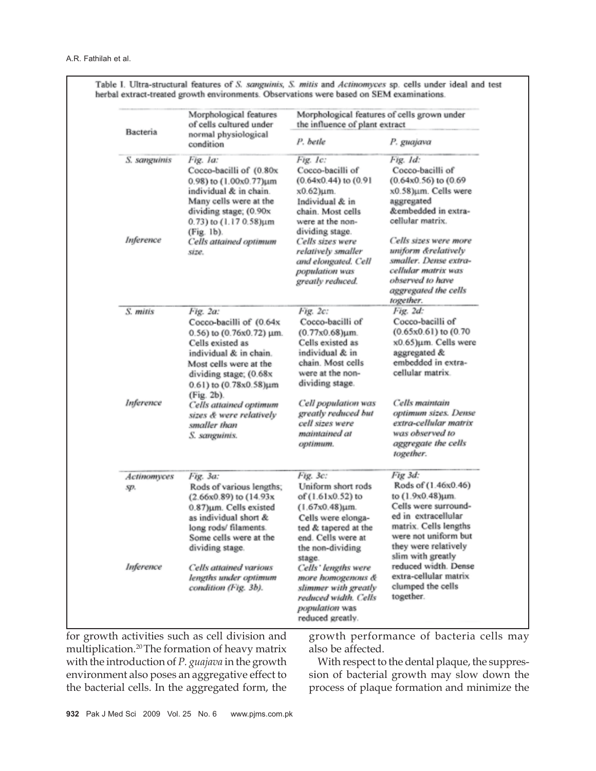| Bacteria           | Morphological features<br>of cells cultured under<br>normal physiological<br>condition                                                                                                                            | Morphological features of cells grown under<br>the influence of plant extract                                                                                                |                                                                                                                                                                                                 |
|--------------------|-------------------------------------------------------------------------------------------------------------------------------------------------------------------------------------------------------------------|------------------------------------------------------------------------------------------------------------------------------------------------------------------------------|-------------------------------------------------------------------------------------------------------------------------------------------------------------------------------------------------|
|                    |                                                                                                                                                                                                                   | P. betle                                                                                                                                                                     | P. guajava                                                                                                                                                                                      |
| S. sanguinis       | Fig. la:<br>Cocco-bacilli of (0.80x<br>0.98) to (1.00x0.77)um<br>individual & in chain.<br>Many cells were at the<br>dividing stage; (0.90x<br>0.73) to $(1.170.58) \mu m$                                        | Fig. 1c:<br>Cocco-bacilli of<br>$(0.64x0.44)$ to $(0.91$<br>$x0.62$ ) $\mu$ m.<br>Individual & in<br>chain. Most cells<br>were at the non-                                   | Fig. 1d:<br>Cocco-bacilli of<br>$(0.64x0.56)$ to $(0.69)$<br>x0.58)µm. Cells were<br>aggregated<br>&embedded in extra-<br>cellular matrix.                                                      |
| Inference          | (Fig. 1b).<br>Cells attained optimum<br>size.                                                                                                                                                                     | dividing stage.<br>Cells sizes were<br>relatively smaller<br>and elongated. Cell<br>population was<br>greatly reduced.                                                       | Cells sizes were more<br>uniform &relatively<br>smaller. Dense extra-<br>cellular matrix was<br>observed to have<br>aggregated the cells<br>together.                                           |
| S. mitis           | Fig. 2a:<br>Cocco-bacilli of (0.64x<br>0.56) to $(0.76x0.72)$ µm.<br>Cells existed as<br>individual & in chain.<br>Most cells were at the<br>dividing stage; (0.68x<br>$0.61$ ) to $(0.78x0.58)$ um<br>(Fig. 2b). | Fig. 2c:<br>Cocco-bacilli of<br>$(0.77x0.68) \mu m$ .<br>Cells existed as<br>individual & in<br>chain. Most cells<br>were at the non-<br>dividing stage.                     | Fig. 2d:<br>Cocco-bacilli of<br>$(0.65x0.61)$ to $(0.70$<br>x0.65)µm. Cells were<br>aggregated &<br>embedded in extra-<br>cellular matrix.                                                      |
| Inference          | Cells attained optimum<br>sizes & were relatively<br>smaller than<br>S. sanguinis.                                                                                                                                | Cell population was<br>greatly reduced but<br>cell sizes were<br>maintained at<br>optimum.                                                                                   | Cells maintain<br>optimum sizes. Dense<br>extra-cellular matrix<br>was observed to<br>aggregate the cells<br>together.                                                                          |
| Actinomyces<br>sp. | Fig. 3a:<br>Rods of various lengths;<br>(2.66x0.89) to (14.93x)<br>0.87)um. Cells existed<br>as individual short &<br>long rods/ filaments.<br>Some cells were at the<br>dividing stage.                          | Fig. 3c:<br>Uniform short rods<br>of $(1.61x0.52)$ to<br>$(1.67x0.48)$ um.<br>Cells were elonga-<br>ted & tapered at the<br>end. Cells were at<br>the non-dividing<br>stage. | Fig 3d:<br>Rods of (1.46x0.46)<br>to (1.9x0.48)um.<br>Cells were surround-<br>ed in extracellular<br>matrix. Cells lengths<br>were not uniform but<br>they were relatively<br>slim with greatly |
| Inference          | Cells attained various<br>lengths under optimum<br>condition (Fig. 3b).                                                                                                                                           | Cells' lengths were<br>more homogenous &<br>slimmer with greatly<br>reduced width. Cells<br>population was<br>reduced greatly.                                               | reduced width. Dense<br>extra-cellular matrix<br>clumped the cells<br>together.                                                                                                                 |

Table I. Ultra-structural features of S. sanguinis, S. mitis and Actinomyces sp. cells under ideal and test

for growth activities such as cell division and multiplication.20 The formation of heavy matrix with the introduction of *P. guajava* in the growth environment also poses an aggregative effect to the bacterial cells. In the aggregated form, the

growth performance of bacteria cells may also be affected.

With respect to the dental plaque, the suppression of bacterial growth may slow down the process of plaque formation and minimize the